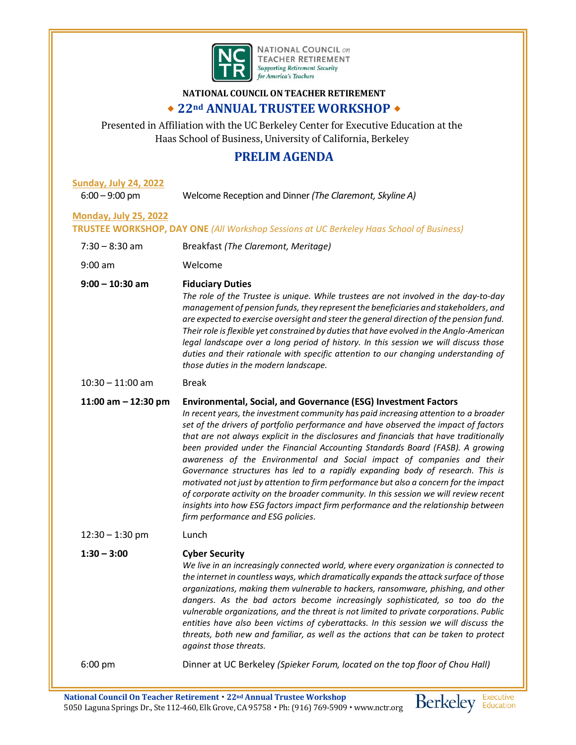

**NATIONAL COUNCIL ON TEACHER RETIREMENT** Supporting Retirement Security<br>for America's Teachers

## **NATIONAL COUNCIL ON TEACHER RETIREMENT 22nd ANNUAL TRUSTEE WORKSHOP**

Presented in Affiliation with the UC Berkeley Center for Executive Education at the Haas School of Business, University of California, Berkeley

# **PRELIM AGENDA**

| <b>Sunday, July 24, 2022</b><br>$6:00 - 9:00$ pm                                                                                | Welcome Reception and Dinner (The Claremont, Skyline A)                                                                                                                                                                                                                                                                                                                                                                                                                                                                                                                                                                                                                                                                                                                                                                                                                                                     |
|---------------------------------------------------------------------------------------------------------------------------------|-------------------------------------------------------------------------------------------------------------------------------------------------------------------------------------------------------------------------------------------------------------------------------------------------------------------------------------------------------------------------------------------------------------------------------------------------------------------------------------------------------------------------------------------------------------------------------------------------------------------------------------------------------------------------------------------------------------------------------------------------------------------------------------------------------------------------------------------------------------------------------------------------------------|
| <b>Monday, July 25, 2022</b><br><b>TRUSTEE WORKSHOP, DAY ONE (All Workshop Sessions at UC Berkeley Haas School of Business)</b> |                                                                                                                                                                                                                                                                                                                                                                                                                                                                                                                                                                                                                                                                                                                                                                                                                                                                                                             |
| $7:30 - 8:30$ am                                                                                                                | Breakfast (The Claremont, Meritage)                                                                                                                                                                                                                                                                                                                                                                                                                                                                                                                                                                                                                                                                                                                                                                                                                                                                         |
| $9:00$ am                                                                                                                       | Welcome                                                                                                                                                                                                                                                                                                                                                                                                                                                                                                                                                                                                                                                                                                                                                                                                                                                                                                     |
| $9:00 - 10:30$ am                                                                                                               | <b>Fiduciary Duties</b><br>The role of the Trustee is unique. While trustees are not involved in the day-to-day<br>management of pension funds, they represent the beneficiaries and stakeholders, and<br>are expected to exercise oversight and steer the general direction of the pension fund.<br>Their role is flexible yet constrained by duties that have evolved in the Anglo-American<br>legal landscape over a long period of history. In this session we will discuss those<br>duties and their rationale with specific attention to our changing understanding of<br>those duties in the modern landscape.                                                                                                                                                                                                                                                                                       |
| $10:30 - 11:00$ am                                                                                                              | <b>Break</b>                                                                                                                                                                                                                                                                                                                                                                                                                                                                                                                                                                                                                                                                                                                                                                                                                                                                                                |
| 11:00 am $-$ 12:30 pm                                                                                                           | <b>Environmental, Social, and Governance (ESG) Investment Factors</b><br>In recent years, the investment community has paid increasing attention to a broader<br>set of the drivers of portfolio performance and have observed the impact of factors<br>that are not always explicit in the disclosures and financials that have traditionally<br>been provided under the Financial Accounting Standards Board (FASB). A growing<br>awareness of the Environmental and Social impact of companies and their<br>Governance structures has led to a rapidly expanding body of research. This is<br>motivated not just by attention to firm performance but also a concern for the impact<br>of corporate activity on the broader community. In this session we will review recent<br>insights into how ESG factors impact firm performance and the relationship between<br>firm performance and ESG policies. |
| $12:30 - 1:30$ pm                                                                                                               | Lunch                                                                                                                                                                                                                                                                                                                                                                                                                                                                                                                                                                                                                                                                                                                                                                                                                                                                                                       |
| $1:30 - 3:00$                                                                                                                   | <b>Cyber Security</b><br>We live in an increasingly connected world, where every organization is connected to<br>the internet in countless ways, which dramatically expands the attack surface of those<br>organizations, making them vulnerable to hackers, ransomware, phishing, and other<br>dangers. As the bad actors become increasingly sophisticated, so too do the<br>vulnerable organizations, and the threat is not limited to private corporations. Public<br>entities have also been victims of cyberattacks. In this session we will discuss the<br>threats, both new and familiar, as well as the actions that can be taken to protect<br>against those threats.                                                                                                                                                                                                                             |
| $6:00$ pm                                                                                                                       | Dinner at UC Berkeley (Spieker Forum, located on the top floor of Chou Hall)                                                                                                                                                                                                                                                                                                                                                                                                                                                                                                                                                                                                                                                                                                                                                                                                                                |

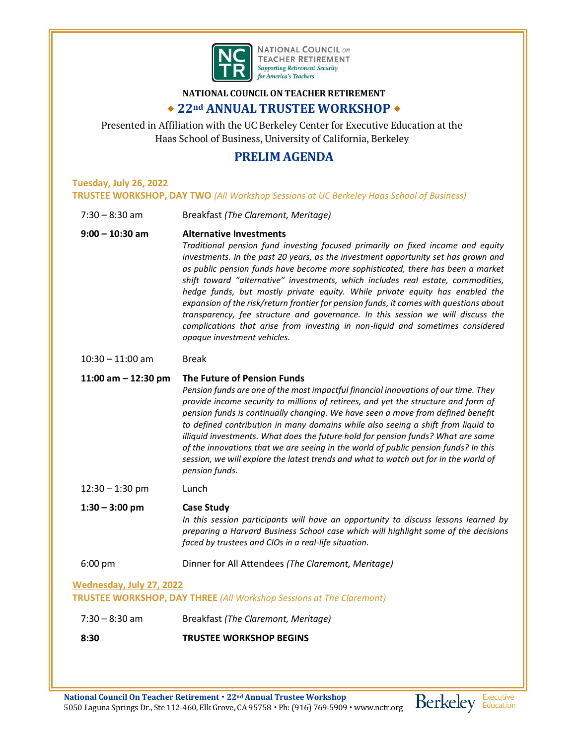

**NATIONAL COUNCIL on TEACHER RETIREMENT Supporting Retirement Security for America's Teachers** 

## **NATIONAL COUNCIL ON TEACHER RETIREMENT 22nd ANNUAL TRUSTEE WORKSHOP**

Presented in Affiliation with the UC Berkeley Center for Executive Education at the Haas School of Business, University of California, Berkeley

# **PRELIM AGENDA**

### **Tuesday, July 26, 2022 TRUSTEE WORKSHOP, DAY TWO** *(All Workshop Sessions at UC Berkeley Haas School of Business)*

7:30 – 8:30 am Breakfast *(The Claremont, Meritage)*

### **9:00 – 10:30 am Alternative Investments**

*Traditional pension fund investing focused primarily on fixed income and equity investments. In the past 20 years, as the investment opportunity set has grown and as public pension funds have become more sophisticated, there has been a market shift toward "alternative" investments, which includes real estate, commodities, hedge funds, but mostly private equity. While private equity has enabled the expansion of the risk/return frontier for pension funds, it comes with questions about transparency, fee structure and governance. In this session we will discuss the complications that arise from investing in non-liquid and sometimes considered opaque investment vehicles.*

#### 10:30 – 11:00 am Break

### **11:00 am – 12:30 pm The Future of Pension Funds**

*Pension funds are one of the most impactful financial innovations of our time. They provide income security to millions of retirees, and yet the structure and form of pension funds is continually changing. We have seen a move from defined benefit to defined contribution in many domains while also seeing a shift from liquid to illiquid investments. What does the future hold for pension funds? What are some of the innovations that we are seeing in the world of public pension funds? In this session, we will explore the latest trends and what to watch out for in the world of pension funds.* 

12:30 – 1:30 pm Lunch

# **1:30 – 3:00 pm Case Study**

*In this session participants will have an opportunity to discuss lessons learned by preparing a Harvard Business School case which will highlight some of the decisions faced by trustees and CIOs in a real-life situation.*

### 6:00 pm Dinner for All Attendees *(The Claremont, Meritage)*

### **Wednesday, July 27, 2022**

**TRUSTEE WORKSHOP, DAY THREE** *(All Workshop Sessions at The Claremont)*

- 7:30 8:30 am Breakfast *(The Claremont, Meritage)*
- **8:30 TRUSTEE WORKSHOP BEGINS**

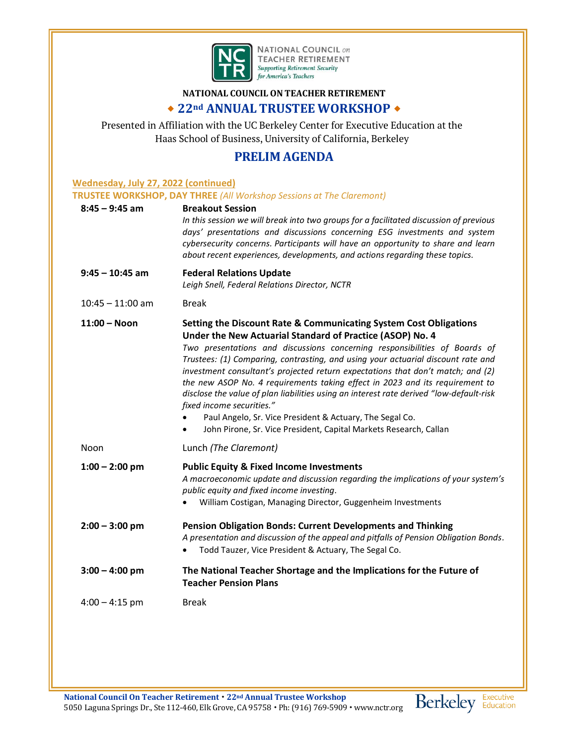

**NATIONAL COUNCIL ON TEACHER RETIREMENT** Supporting Retirement Security<br>for America's Teachers

### **NATIONAL COUNCIL ON TEACHER RETIREMENT**

# **22nd ANNUAL TRUSTEE WORKSHOP**

Presented in Affiliation with the UC Berkeley Center for Executive Education at the Haas School of Business, University of California, Berkeley

# **PRELIM AGENDA**

| <b>Wednesday, July 27, 2022 (continued)</b> |                                                                                                                                                                                                                                                                                                                                                                                                                                                                                                                                                                                                                                                                                                                                                      |  |
|---------------------------------------------|------------------------------------------------------------------------------------------------------------------------------------------------------------------------------------------------------------------------------------------------------------------------------------------------------------------------------------------------------------------------------------------------------------------------------------------------------------------------------------------------------------------------------------------------------------------------------------------------------------------------------------------------------------------------------------------------------------------------------------------------------|--|
| $8:45 - 9:45$ am                            | <b>TRUSTEE WORKSHOP, DAY THREE (All Workshop Sessions at The Claremont)</b><br><b>Breakout Session</b>                                                                                                                                                                                                                                                                                                                                                                                                                                                                                                                                                                                                                                               |  |
|                                             | In this session we will break into two groups for a facilitated discussion of previous<br>days' presentations and discussions concerning ESG investments and system<br>cybersecurity concerns. Participants will have an opportunity to share and learn<br>about recent experiences, developments, and actions regarding these topics.                                                                                                                                                                                                                                                                                                                                                                                                               |  |
| $9:45 - 10:45$ am                           | <b>Federal Relations Update</b><br>Leigh Snell, Federal Relations Director, NCTR                                                                                                                                                                                                                                                                                                                                                                                                                                                                                                                                                                                                                                                                     |  |
| $10:45 - 11:00$ am                          | <b>Break</b>                                                                                                                                                                                                                                                                                                                                                                                                                                                                                                                                                                                                                                                                                                                                         |  |
| $11:00 - N$ oon                             | <b>Setting the Discount Rate &amp; Communicating System Cost Obligations</b><br>Under the New Actuarial Standard of Practice (ASOP) No. 4<br>Two presentations and discussions concerning responsibilities of Boards of<br>Trustees: (1) Comparing, contrasting, and using your actuarial discount rate and<br>investment consultant's projected return expectations that don't match; and (2)<br>the new ASOP No. 4 requirements taking effect in 2023 and its requirement to<br>disclose the value of plan liabilities using an interest rate derived "low-default-risk<br>fixed income securities."<br>Paul Angelo, Sr. Vice President & Actuary, The Segal Co.<br>John Pirone, Sr. Vice President, Capital Markets Research, Callan<br>$\bullet$ |  |
| Noon                                        | Lunch (The Claremont)                                                                                                                                                                                                                                                                                                                                                                                                                                                                                                                                                                                                                                                                                                                                |  |
| $1:00 - 2:00$ pm                            | <b>Public Equity &amp; Fixed Income Investments</b><br>A macroeconomic update and discussion regarding the implications of your system's<br>public equity and fixed income investing.<br>William Costigan, Managing Director, Guggenheim Investments                                                                                                                                                                                                                                                                                                                                                                                                                                                                                                 |  |
| $2:00 - 3:00$ pm                            | <b>Pension Obligation Bonds: Current Developments and Thinking</b><br>A presentation and discussion of the appeal and pitfalls of Pension Obligation Bonds.<br>Todd Tauzer, Vice President & Actuary, The Segal Co.                                                                                                                                                                                                                                                                                                                                                                                                                                                                                                                                  |  |
| $3:00 - 4:00$ pm                            | The National Teacher Shortage and the Implications for the Future of<br><b>Teacher Pension Plans</b>                                                                                                                                                                                                                                                                                                                                                                                                                                                                                                                                                                                                                                                 |  |
| $4:00 - 4:15$ pm                            | <b>Break</b>                                                                                                                                                                                                                                                                                                                                                                                                                                                                                                                                                                                                                                                                                                                                         |  |